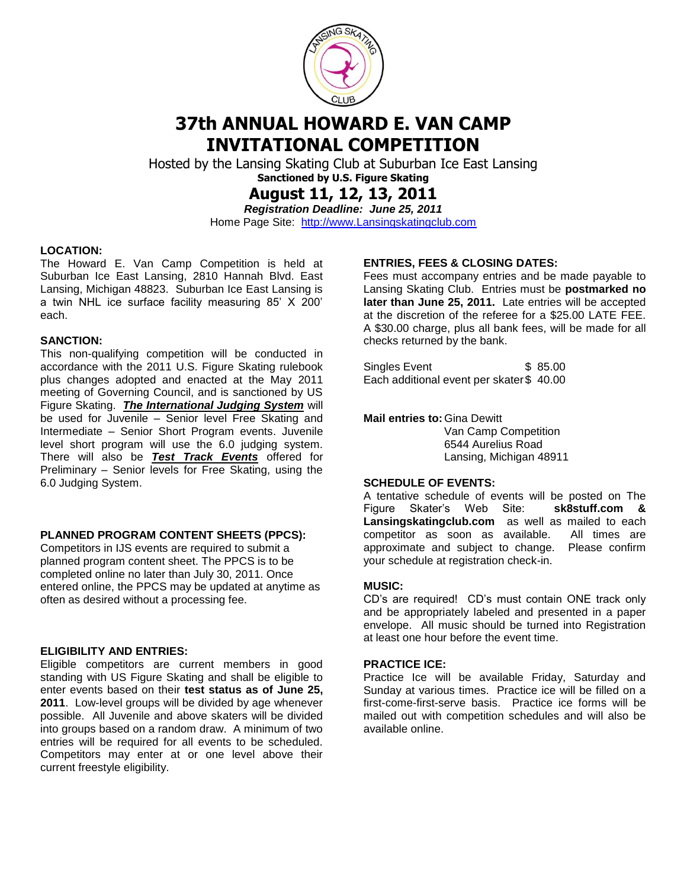

# **37th ANNUAL HOWARD E. VAN CAMP INVITATIONAL COMPETITION**

Hosted by the Lansing Skating Club at Suburban Ice East Lansing **Sanctioned by U.S. Figure Skating**

**August 11, 12, 13, 2011**

*Registration Deadline: June 25, 2011* Home Page Site: [http://www.Lansingskatingclub.com](http://www.lansingskatingclub.com/)

#### **LOCATION:**

The Howard E. Van Camp Competition is held at Suburban Ice East Lansing, 2810 Hannah Blvd. East Lansing, Michigan 48823. Suburban Ice East Lansing is a twin NHL ice surface facility measuring 85' X 200' each.

#### **SANCTION:**

This non-qualifying competition will be conducted in accordance with the 2011 U.S. Figure Skating rulebook plus changes adopted and enacted at the May 2011 meeting of Governing Council, and is sanctioned by US Figure Skating. *The International Judging System* will be used for Juvenile – Senior level Free Skating and Intermediate – Senior Short Program events. Juvenile level short program will use the 6.0 judging system. There will also be *Test Track Events* offered for Preliminary – Senior levels for Free Skating, using the 6.0 Judging System.

#### **PLANNED PROGRAM CONTENT SHEETS (PPCS):**

Competitors in IJS events are required to submit a planned program content sheet. The PPCS is to be completed online no later than July 30, 2011. Once entered online, the PPCS may be updated at anytime as often as desired without a processing fee.

#### **ELIGIBILITY AND ENTRIES:**

Eligible competitors are current members in good standing with US Figure Skating and shall be eligible to enter events based on their **test status as of June 25, 2011**. Low-level groups will be divided by age whenever possible. All Juvenile and above skaters will be divided into groups based on a random draw. A minimum of two entries will be required for all events to be scheduled. Competitors may enter at or one level above their current freestyle eligibility.

#### **ENTRIES, FEES & CLOSING DATES:**

Fees must accompany entries and be made payable to Lansing Skating Club. Entries must be **postmarked no later than June 25, 2011.** Late entries will be accepted at the discretion of the referee for a \$25.00 LATE FEE. A \$30.00 charge, plus all bank fees, will be made for all checks returned by the bank.

Singles Event \$ 85.00 Each additional event per skater \$40.00

**Mail entries to:**Gina Dewitt

Van Camp Competition 6544 Aurelius Road Lansing, Michigan 48911

#### **SCHEDULE OF EVENTS:**

A tentative schedule of events will be posted on The Figure Skater's Web Site: **sk8stuff.com & Lansingskatingclub.com** as well as mailed to each competitor as soon as available. All times are approximate and subject to change. Please confirm your schedule at registration check-in.

#### **MUSIC:**

CD's are required! CD's must contain ONE track only and be appropriately labeled and presented in a paper envelope. All music should be turned into Registration at least one hour before the event time.

#### **PRACTICE ICE:**

Practice Ice will be available Friday, Saturday and Sunday at various times. Practice ice will be filled on a first-come-first-serve basis. Practice ice forms will be mailed out with competition schedules and will also be available online.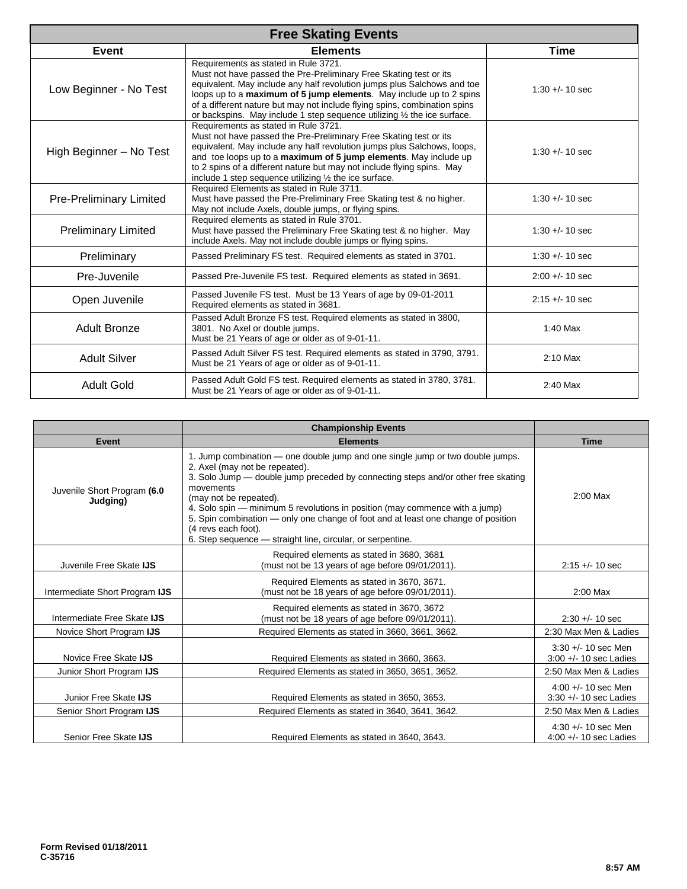| <b>Free Skating Events</b>     |                                                                                                                                                                                                                                                                                                                                                                                                                                        |                    |
|--------------------------------|----------------------------------------------------------------------------------------------------------------------------------------------------------------------------------------------------------------------------------------------------------------------------------------------------------------------------------------------------------------------------------------------------------------------------------------|--------------------|
| Event                          | <b>Elements</b>                                                                                                                                                                                                                                                                                                                                                                                                                        | Time               |
| Low Beginner - No Test         | Requirements as stated in Rule 3721.<br>Must not have passed the Pre-Preliminary Free Skating test or its<br>equivalent. May include any half revolution jumps plus Salchows and toe<br>loops up to a <b>maximum of 5 jump elements</b> . May include up to 2 spins<br>of a different nature but may not include flying spins, combination spins<br>or backspins. May include 1 step sequence utilizing $\frac{1}{2}$ the ice surface. | $1:30 + (-10)$ sec |
| High Beginner - No Test        | Requirements as stated in Rule 3721.<br>Must not have passed the Pre-Preliminary Free Skating test or its<br>equivalent. May include any half revolution jumps plus Salchows, loops,<br>and toe loops up to a maximum of 5 jump elements. May include up<br>to 2 spins of a different nature but may not include flying spins. May<br>include 1 step sequence utilizing $\frac{1}{2}$ the ice surface.                                 | $1:30 + (-10)$ sec |
| <b>Pre-Preliminary Limited</b> | Required Elements as stated in Rule 3711.<br>Must have passed the Pre-Preliminary Free Skating test & no higher.<br>May not include Axels, double jumps, or flying spins.                                                                                                                                                                                                                                                              | $1:30 + (-10)$ sec |
| <b>Preliminary Limited</b>     | Required elements as stated in Rule 3701.<br>Must have passed the Preliminary Free Skating test & no higher. May<br>include Axels. May not include double jumps or flying spins.                                                                                                                                                                                                                                                       | $1:30 + 10$ sec    |
| Preliminary                    | Passed Preliminary FS test. Required elements as stated in 3701.                                                                                                                                                                                                                                                                                                                                                                       | $1:30 + - 10$ sec  |
| Pre-Juvenile                   | Passed Pre-Juvenile FS test. Required elements as stated in 3691.                                                                                                                                                                                                                                                                                                                                                                      | $2:00 +/- 10$ sec  |
| Open Juvenile                  | Passed Juvenile FS test. Must be 13 Years of age by 09-01-2011<br>Required elements as stated in 3681.                                                                                                                                                                                                                                                                                                                                 | $2:15 + - 10$ sec  |
| <b>Adult Bronze</b>            | Passed Adult Bronze FS test. Required elements as stated in 3800,<br>3801. No Axel or double jumps.<br>Must be 21 Years of age or older as of 9-01-11.                                                                                                                                                                                                                                                                                 | 1:40 Max           |
| <b>Adult Silver</b>            | Passed Adult Silver FS test. Required elements as stated in 3790, 3791.<br>Must be 21 Years of age or older as of 9-01-11.                                                                                                                                                                                                                                                                                                             | 2:10 Max           |
| <b>Adult Gold</b>              | Passed Adult Gold FS test. Required elements as stated in 3780, 3781.<br>Must be 21 Years of age or older as of 9-01-11.                                                                                                                                                                                                                                                                                                               | $2:40$ Max         |

|                                                   | <b>Championship Events</b>                                                                                                                                                                                                                                                                                                                                                                                                                                                                            |                                                                            |
|---------------------------------------------------|-------------------------------------------------------------------------------------------------------------------------------------------------------------------------------------------------------------------------------------------------------------------------------------------------------------------------------------------------------------------------------------------------------------------------------------------------------------------------------------------------------|----------------------------------------------------------------------------|
| Event                                             | <b>Elements</b>                                                                                                                                                                                                                                                                                                                                                                                                                                                                                       | <b>Time</b>                                                                |
| Juvenile Short Program (6.0<br>Judging)           | 1. Jump combination — one double jump and one single jump or two double jumps.<br>2. Axel (may not be repeated).<br>3. Solo Jump — double jump preceded by connecting steps and/or other free skating<br>movements<br>(may not be repeated).<br>4. Solo spin — minimum 5 revolutions in position (may commence with a jump)<br>5. Spin combination — only one change of foot and at least one change of position<br>(4 revs each foot).<br>6. Step sequence - straight line, circular, or serpentine. | $2:00$ Max                                                                 |
| Juvenile Free Skate IJS                           | Required elements as stated in 3680, 3681<br>(must not be 13 years of age before 09/01/2011).                                                                                                                                                                                                                                                                                                                                                                                                         | $2:15 + - 10$ sec                                                          |
| Intermediate Short Program IJS                    | Required Elements as stated in 3670, 3671.<br>(must not be 18 years of age before 09/01/2011).                                                                                                                                                                                                                                                                                                                                                                                                        | $2:00$ Max                                                                 |
| Intermediate Free Skate IJS                       | Required elements as stated in 3670, 3672<br>(must not be 18 years of age before 09/01/2011).                                                                                                                                                                                                                                                                                                                                                                                                         | $2:30 + 10$ sec                                                            |
| Novice Short Program IJS                          | Required Elements as stated in 3660, 3661, 3662.                                                                                                                                                                                                                                                                                                                                                                                                                                                      | 2:30 Max Men & Ladies                                                      |
| Novice Free Skate IJS                             | Required Elements as stated in 3660, 3663.                                                                                                                                                                                                                                                                                                                                                                                                                                                            | $3:30 +/- 10$ sec Men<br>$3:00 +/- 10$ sec Ladies                          |
| Junior Short Program IJS                          | Required Elements as stated in 3650, 3651, 3652.                                                                                                                                                                                                                                                                                                                                                                                                                                                      | 2:50 Max Men & Ladies                                                      |
| Junior Free Skate IJS<br>Senior Short Program IJS | Required Elements as stated in 3650, 3653.<br>Required Elements as stated in 3640, 3641, 3642.                                                                                                                                                                                                                                                                                                                                                                                                        | $4:00 +/- 10$ sec Men<br>$3:30 + - 10$ sec Ladies<br>2:50 Max Men & Ladies |
| Senior Free Skate IJS                             | Required Elements as stated in 3640, 3643.                                                                                                                                                                                                                                                                                                                                                                                                                                                            | $4:30 +/- 10$ sec Men<br>4:00 $+/-$ 10 sec Ladies                          |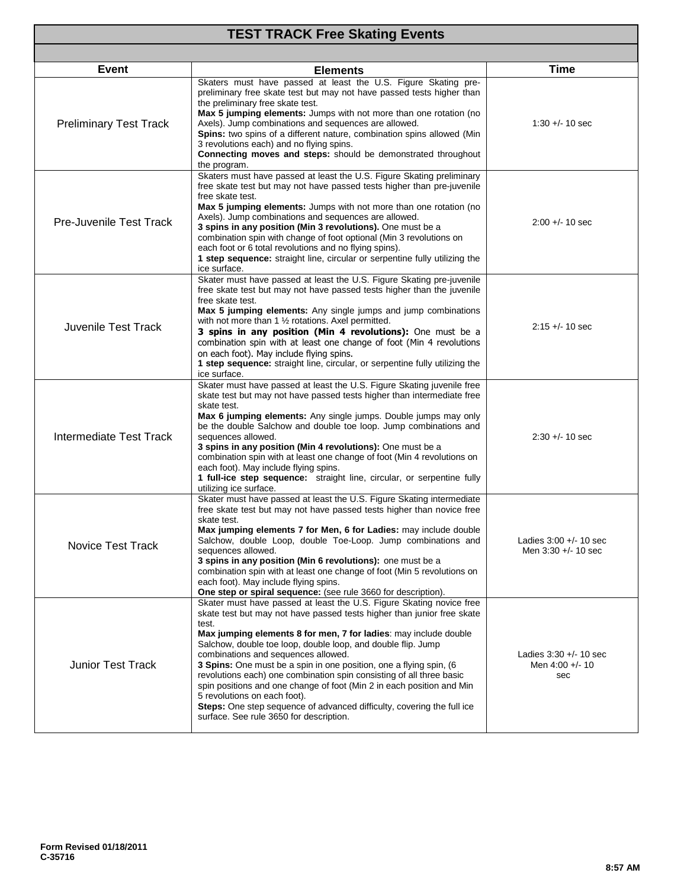| <b>TEST TRACK Free Skating Events</b> |                                                                                                                                                                                                                                                                                                                                                                                                                                                                                                                                                                                                                                                                                                                |                                                    |  |
|---------------------------------------|----------------------------------------------------------------------------------------------------------------------------------------------------------------------------------------------------------------------------------------------------------------------------------------------------------------------------------------------------------------------------------------------------------------------------------------------------------------------------------------------------------------------------------------------------------------------------------------------------------------------------------------------------------------------------------------------------------------|----------------------------------------------------|--|
|                                       |                                                                                                                                                                                                                                                                                                                                                                                                                                                                                                                                                                                                                                                                                                                |                                                    |  |
| <b>Event</b>                          | <b>Elements</b>                                                                                                                                                                                                                                                                                                                                                                                                                                                                                                                                                                                                                                                                                                | Time                                               |  |
| <b>Preliminary Test Track</b>         | Skaters must have passed at least the U.S. Figure Skating pre-<br>preliminary free skate test but may not have passed tests higher than<br>the preliminary free skate test.<br>Max 5 jumping elements: Jumps with not more than one rotation (no<br>Axels). Jump combinations and sequences are allowed.<br>Spins: two spins of a different nature, combination spins allowed (Min<br>3 revolutions each) and no flying spins.<br>Connecting moves and steps: should be demonstrated throughout<br>the program.                                                                                                                                                                                                | $1:30 + (-10)$ sec                                 |  |
| <b>Pre-Juvenile Test Track</b>        | Skaters must have passed at least the U.S. Figure Skating preliminary<br>free skate test but may not have passed tests higher than pre-juvenile<br>free skate test.<br>Max 5 jumping elements: Jumps with not more than one rotation (no<br>Axels). Jump combinations and sequences are allowed.<br>3 spins in any position (Min 3 revolutions). One must be a<br>combination spin with change of foot optional (Min 3 revolutions on<br>each foot or 6 total revolutions and no flying spins).<br>1 step sequence: straight line, circular or serpentine fully utilizing the<br>ice surface.                                                                                                                  | $2:00 + (-10)$ sec                                 |  |
| Juvenile Test Track                   | Skater must have passed at least the U.S. Figure Skating pre-juvenile<br>free skate test but may not have passed tests higher than the juvenile<br>free skate test.<br>Max 5 jumping elements: Any single jumps and jump combinations<br>with not more than 1 1/2 rotations. Axel permitted.<br>3 spins in any position (Min 4 revolutions): One must be a<br>combination spin with at least one change of foot (Min 4 revolutions<br>on each foot). May include flying spins.<br>1 step sequence: straight line, circular, or serpentine fully utilizing the<br>ice surface.                                                                                                                                  | $2:15 + (-10)$ sec                                 |  |
| Intermediate Test Track               | Skater must have passed at least the U.S. Figure Skating juvenile free<br>skate test but may not have passed tests higher than intermediate free<br>skate test.<br>Max 6 jumping elements: Any single jumps. Double jumps may only<br>be the double Salchow and double toe loop. Jump combinations and<br>sequences allowed.<br>3 spins in any position (Min 4 revolutions): One must be a<br>combination spin with at least one change of foot (Min 4 revolutions on<br>each foot). May include flying spins.<br>1 full-ice step sequence: straight line, circular, or serpentine fully<br>utilizing ice surface.                                                                                             | $2:30 + (-10)$ sec                                 |  |
| Novice Test Track                     | Skater must have passed at least the U.S. Figure Skating intermediate<br>free skate test but may not have passed tests higher than novice free<br>skate test.<br>Max jumping elements 7 for Men, 6 for Ladies: may include double<br>Salchow, double Loop, double Toe-Loop. Jump combinations and<br>sequences allowed.<br>3 spins in any position (Min 6 revolutions): one must be a<br>combination spin with at least one change of foot (Min 5 revolutions on<br>each foot). May include flying spins.<br>One step or spiral sequence: (see rule 3660 for description).                                                                                                                                     | Ladies $3:00 +/- 10$ sec<br>Men $3:30 +/- 10$ sec  |  |
| <b>Junior Test Track</b>              | Skater must have passed at least the U.S. Figure Skating novice free<br>skate test but may not have passed tests higher than junior free skate<br>test.<br>Max jumping elements 8 for men, 7 for ladies: may include double<br>Salchow, double toe loop, double loop, and double flip. Jump<br>combinations and sequences allowed.<br>3 Spins: One must be a spin in one position, one a flying spin, (6<br>revolutions each) one combination spin consisting of all three basic<br>spin positions and one change of foot (Min 2 in each position and Min<br>5 revolutions on each foot).<br>Steps: One step sequence of advanced difficulty, covering the full ice<br>surface. See rule 3650 for description. | Ladies $3:30 +/- 10$ sec<br>Men 4:00 +/- 10<br>sec |  |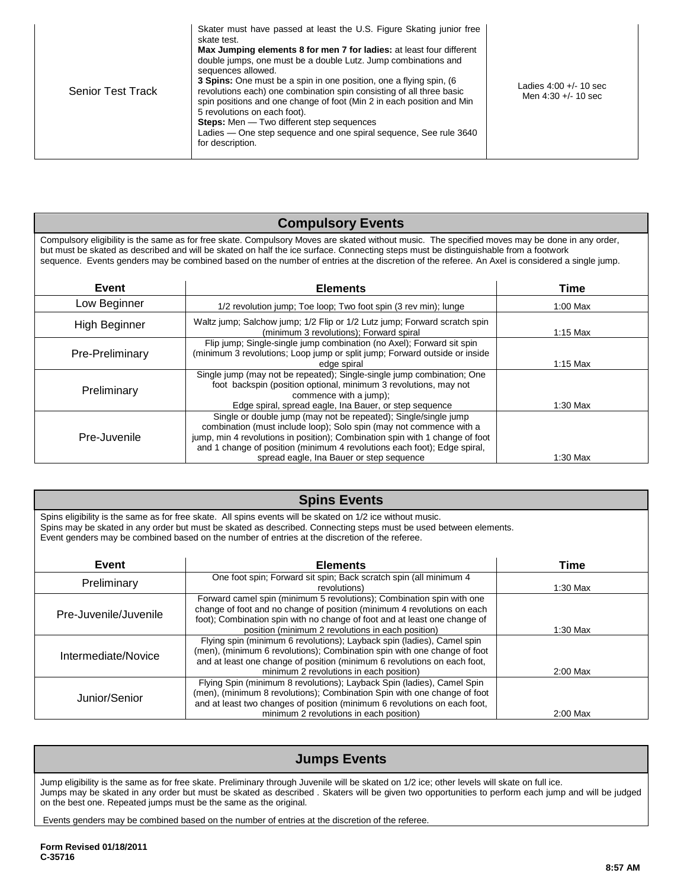| Skater must have passed at least the U.S. Figure Skating junior free<br>skate test.<br>Max Jumping elements 8 for men 7 for ladies: at least four different<br>double jumps, one must be a double Lutz. Jump combinations and<br>sequences allowed.<br>3 Spins: One must be a spin in one position, one a flying spin, (6)<br>revolutions each) one combination spin consisting of all three basic<br><b>Senior Test Track</b><br>spin positions and one change of foot (Min 2 in each position and Min<br>5 revolutions on each foot).<br><b>Steps:</b> Men — Two different step sequences<br>Ladies – One step sequence and one spiral sequence, See rule 3640<br>for description. | Ladies $4:00 +/- 10$ sec<br>Men $4:30 +/- 10$ sec |
|--------------------------------------------------------------------------------------------------------------------------------------------------------------------------------------------------------------------------------------------------------------------------------------------------------------------------------------------------------------------------------------------------------------------------------------------------------------------------------------------------------------------------------------------------------------------------------------------------------------------------------------------------------------------------------------|---------------------------------------------------|
|--------------------------------------------------------------------------------------------------------------------------------------------------------------------------------------------------------------------------------------------------------------------------------------------------------------------------------------------------------------------------------------------------------------------------------------------------------------------------------------------------------------------------------------------------------------------------------------------------------------------------------------------------------------------------------------|---------------------------------------------------|

# **Compulsory Events**

Compulsory eligibility is the same as for free skate. Compulsory Moves are skated without music. The specified moves may be done in any order, but must be skated as described and will be skated on half the ice surface. Connecting steps must be distinguishable from a footwork sequence. Events genders may be combined based on the number of entries at the discretion of the referee. An Axel is considered a single jump.

| Event           | <b>Elements</b>                                                                                                                                                                                                                                                                                                                                | Time       |
|-----------------|------------------------------------------------------------------------------------------------------------------------------------------------------------------------------------------------------------------------------------------------------------------------------------------------------------------------------------------------|------------|
| Low Beginner    | 1/2 revolution jump; Toe loop; Two foot spin (3 rev min); lunge                                                                                                                                                                                                                                                                                | $1:00$ Max |
| High Beginner   | Waltz jump; Salchow jump; 1/2 Flip or 1/2 Lutz jump; Forward scratch spin<br>(minimum 3 revolutions); Forward spiral                                                                                                                                                                                                                           | $1:15$ Max |
| Pre-Preliminary | Flip jump; Single-single jump combination (no Axel); Forward sit spin<br>(minimum 3 revolutions; Loop jump or split jump; Forward outside or inside<br>edge spiral                                                                                                                                                                             | $1:15$ Max |
| Preliminary     | Single jump (may not be repeated); Single-single jump combination; One<br>foot backspin (position optional, minimum 3 revolutions, may not<br>commence with a jump);<br>Edge spiral, spread eagle, Ina Bauer, or step sequence                                                                                                                 | $1:30$ Max |
| Pre-Juvenile    | Single or double jump (may not be repeated); Single/single jump<br>combination (must include loop); Solo spin (may not commence with a<br>jump, min 4 revolutions in position); Combination spin with 1 change of foot<br>and 1 change of position (minimum 4 revolutions each foot); Edge spiral,<br>spread eagle, Ina Bauer or step sequence | 1:30 Max   |

| <b>Spins Events</b>                                                                                                                                                                                                                                                                                                               |                                                                                                                                                                                                                                                                                    |            |
|-----------------------------------------------------------------------------------------------------------------------------------------------------------------------------------------------------------------------------------------------------------------------------------------------------------------------------------|------------------------------------------------------------------------------------------------------------------------------------------------------------------------------------------------------------------------------------------------------------------------------------|------------|
| Spins eligibility is the same as for free skate. All spins events will be skated on 1/2 ice without music.<br>Spins may be skated in any order but must be skated as described. Connecting steps must be used between elements.<br>Event genders may be combined based on the number of entries at the discretion of the referee. |                                                                                                                                                                                                                                                                                    |            |
| Event                                                                                                                                                                                                                                                                                                                             | <b>Elements</b>                                                                                                                                                                                                                                                                    | Time       |
| Preliminary                                                                                                                                                                                                                                                                                                                       | One foot spin; Forward sit spin; Back scratch spin (all minimum 4<br>revolutions)                                                                                                                                                                                                  | $1:30$ Max |
| Pre-Juvenile/Juvenile                                                                                                                                                                                                                                                                                                             | Forward camel spin (minimum 5 revolutions); Combination spin with one<br>change of foot and no change of position (minimum 4 revolutions on each<br>foot); Combination spin with no change of foot and at least one change of<br>position (minimum 2 revolutions in each position) | $1:30$ Max |
| Intermediate/Novice                                                                                                                                                                                                                                                                                                               | Flying spin (minimum 6 revolutions); Layback spin (ladies), Camel spin<br>(men), (minimum 6 revolutions); Combination spin with one change of foot<br>and at least one change of position (minimum 6 revolutions on each foot,<br>minimum 2 revolutions in each position)          | 2:00 Max   |
| Junior/Senior                                                                                                                                                                                                                                                                                                                     | Flying Spin (minimum 8 revolutions); Layback Spin (ladies), Camel Spin<br>(men), (minimum 8 revolutions); Combination Spin with one change of foot<br>and at least two changes of position (minimum 6 revolutions on each foot,<br>minimum 2 revolutions in each position)         | $2:00$ Max |

### **Jumps Events**

Jump eligibility is the same as for free skate. Preliminary through Juvenile will be skated on 1/2 ice; other levels will skate on full ice. Jumps may be skated in any order but must be skated as described . Skaters will be given two opportunities to perform each jump and will be judged on the best one. Repeated jumps must be the same as the original.

Events genders may be combined based on the number of entries at the discretion of the referee.

**Form Revised 01/18/2011 C-35716**